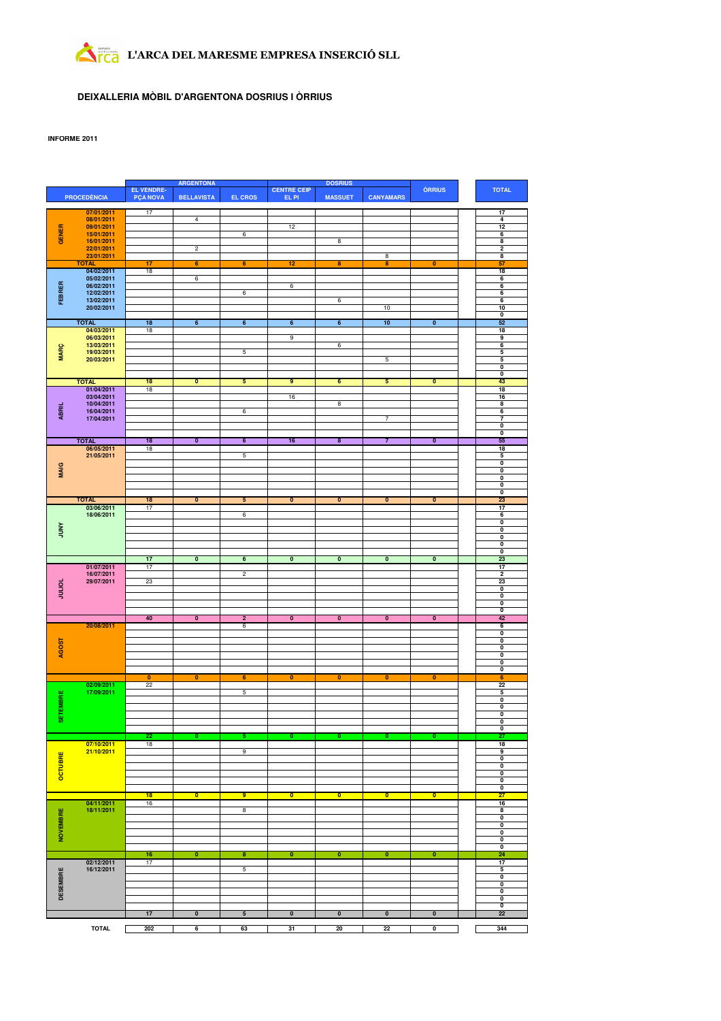# L'ARCA DEL MARESME EMPRESA INSERCIÓ SLL

## **DEIXALLERIA MÒBIL D'ARGENTONA DOSRIUS I ÒRRIUS**

### **INFORME 2011**

|                 |                            |                                      | <b>ARGENTONA</b><br><b>DOSRIUS</b> |                         |                             |                         |                         |                         |                                                    |
|-----------------|----------------------------|--------------------------------------|------------------------------------|-------------------------|-----------------------------|-------------------------|-------------------------|-------------------------|----------------------------------------------------|
|                 | <b>PROCEDÈNCIA</b>         | <b>EL VENDRE-</b><br><b>PÇA NOVA</b> | <b>BELLAVISTA</b>                  | <b>EL CROS</b>          | <b>CENTRE CEIP</b><br>EL PI | <b>MASSUET</b>          | <b>CANYAMARS</b>        | <b>ORRIUS</b>           | <b>TOTAL</b>                                       |
|                 |                            |                                      |                                    |                         |                             |                         |                         |                         |                                                    |
|                 | 07/01/2011<br>08/01/2011   | 17                                   | $\overline{4}$                     |                         |                             |                         |                         |                         | 17<br>4                                            |
| GENER           | 09/01/2011                 |                                      |                                    |                         | 12                          |                         |                         |                         | 12                                                 |
|                 | 15/01/2011<br>16/01/2011   |                                      |                                    | 6                       |                             | 8                       |                         |                         | $6\phantom{a}$<br>8                                |
|                 | 22/01/2011                 |                                      | $\overline{2}$                     |                         |                             |                         |                         |                         | $\overline{\mathbf{2}}$                            |
|                 | 23/01/2011<br><b>TOTAL</b> | 17                                   | 6                                  | 6                       | 12                          | 8                       | 8<br>8                  | $\overline{\mathbf{0}}$ | 8<br>57                                            |
|                 | 04/02/2011                 | 18                                   |                                    |                         |                             |                         |                         |                         | 18                                                 |
|                 | 05/02/2011<br>06/02/2011   |                                      | 6                                  |                         | 6                           |                         |                         |                         | 6<br>6                                             |
| FEBRER          | 12/02/2011                 |                                      |                                    | 6                       |                             |                         |                         |                         | 6                                                  |
|                 | 13/02/2011<br>20/02/2011   |                                      |                                    |                         |                             | 6                       | 10                      |                         | 6<br>10                                            |
|                 |                            |                                      |                                    |                         |                             |                         |                         |                         | $\overline{\mathbf{0}}$                            |
|                 | <b>TOTAL</b><br>04/03/2011 | 18<br>18                             | 6                                  | 6                       | $6\overline{6}$             | $\overline{\mathbf{6}}$ | 10                      | $\overline{\mathbf{0}}$ | 52<br>18                                           |
|                 | 06/03/2011                 |                                      |                                    |                         | 9                           |                         |                         |                         | 9                                                  |
| <b>MARÇ</b>     | 13/03/2011<br>19/03/2011   |                                      |                                    | 5                       |                             | $6\overline{6}$         |                         |                         | $6\overline{6}$<br>5                               |
|                 | 20/03/2011                 |                                      |                                    |                         |                             |                         | 5                       |                         | 5                                                  |
|                 |                            |                                      |                                    |                         |                             |                         |                         |                         | $\overline{\mathbf{0}}$<br>$\overline{\mathbf{0}}$ |
|                 | <b>TOTAL</b>               | 18                                   | $\overline{\mathbf{0}}$            | $5\overline{)}$         | 9                           | 6                       | 5                       | $\overline{\mathbf{0}}$ | 43                                                 |
|                 | 01/04/2011<br>03/04/2011   | 18                                   |                                    |                         | 16                          |                         |                         |                         | 18<br>16                                           |
|                 | 10/04/2011                 |                                      |                                    |                         |                             | 8                       |                         |                         | 8                                                  |
| <b>ABRIL</b>    | 16/04/2011<br>17/04/2011   |                                      |                                    | 6                       |                             |                         | $\overline{7}$          |                         | 6<br>7                                             |
|                 |                            |                                      |                                    |                         |                             |                         |                         |                         | 0                                                  |
|                 | <b>TOTAL</b>               | 18                                   | $\overline{\mathbf{0}}$            | 6                       | 16                          | $\overline{\mathbf{8}}$ | 7                       | $\overline{\mathbf{0}}$ | $\overline{\mathbf{0}}$<br>55                      |
|                 | 06/05/2011                 | 18                                   |                                    |                         |                             |                         |                         |                         | 18                                                 |
|                 | 21/05/2011                 |                                      |                                    | 5                       |                             |                         |                         |                         | 5                                                  |
| <b>MAIG</b>     |                            |                                      |                                    |                         |                             |                         |                         |                         | 0<br>$\overline{\mathbf{0}}$                       |
|                 |                            |                                      |                                    |                         |                             |                         |                         |                         | 0                                                  |
|                 |                            |                                      |                                    |                         |                             |                         |                         |                         | $\overline{\mathbf{0}}$<br>$\overline{\mathbf{0}}$ |
|                 | <b>TOTAL</b>               | 18                                   | $\overline{\mathbf{0}}$            | $\overline{\mathbf{5}}$ | $\overline{\mathbf{0}}$     | $\overline{\mathbf{0}}$ | $\overline{\mathbf{0}}$ | $\overline{\mathbf{0}}$ | 23                                                 |
|                 | 03/06/2011<br>18/06/2011   | 17                                   |                                    | 6                       |                             |                         |                         |                         | 17<br>6                                            |
|                 |                            |                                      |                                    |                         |                             |                         |                         |                         | 0                                                  |
| <b>ANDP</b>     |                            |                                      |                                    |                         |                             |                         |                         |                         | 0<br>0                                             |
|                 |                            |                                      |                                    |                         |                             |                         |                         |                         | 0                                                  |
|                 |                            | 17                                   | $\overline{\mathbf{0}}$            | $\boldsymbol{6}$        | $\overline{\mathbf{0}}$     | $\overline{\mathbf{0}}$ | $\pmb{0}$               | $\overline{\mathbf{0}}$ | 0<br>23                                            |
|                 | 01/07/2011                 | 17                                   |                                    |                         |                             |                         |                         |                         | 17                                                 |
|                 | 16/07/2011<br>29/07/2011   | 23                                   |                                    | $\overline{c}$          |                             |                         |                         |                         | $\overline{2}$<br>23                               |
| <b>JULIOL</b>   |                            |                                      |                                    |                         |                             |                         |                         |                         | $\overline{\mathbf{0}}$                            |
|                 |                            |                                      |                                    |                         |                             |                         |                         |                         | $\overline{\mathbf{0}}$<br>$\overline{\mathbf{0}}$ |
|                 |                            |                                      |                                    |                         |                             |                         |                         |                         | $\overline{\mathbf{0}}$                            |
|                 | 20/08/2011                 | 40                                   | $\bullet$                          | $\overline{2}$<br>6     | $\bullet$                   | $\overline{\mathbf{0}}$ | $\mathbf{0}$            | $\bullet$               | 42<br>6                                            |
|                 |                            |                                      |                                    |                         |                             |                         |                         |                         | 0                                                  |
| AGOST           |                            |                                      |                                    |                         |                             |                         |                         |                         | 0<br>0                                             |
|                 |                            |                                      |                                    |                         |                             |                         |                         |                         | 0                                                  |
|                 |                            |                                      |                                    |                         |                             |                         |                         |                         | 0                                                  |
|                 |                            | $\overline{\mathbf{0}}$              | $\overline{\mathbf{0}}$            | 6                       | $\overline{\mathbf{0}}$     | $\overline{\mathbf{0}}$ | $\overline{\mathbf{0}}$ | $\overline{\mathbf{0}}$ | 0<br>$6\overline{6}$                               |
|                 | 02/09/2011<br>17/09/2011   | 22                                   |                                    |                         |                             |                         |                         |                         | 22                                                 |
| <b>ETEMBRE</b>  |                            |                                      |                                    | 5                       |                             |                         |                         |                         | 5<br>$\bullet$                                     |
|                 |                            |                                      |                                    |                         |                             |                         |                         |                         | 0                                                  |
| 5               |                            |                                      |                                    |                         |                             |                         |                         |                         | 0<br>$\overline{\mathbf{0}}$                       |
|                 |                            | 22                                   | $\overline{\mathbf{0}}$            | 5                       | $\overline{\mathbf{0}}$     | $\overline{\mathbf{0}}$ | $\overline{\mathbf{0}}$ | $\overline{\mathbf{0}}$ | 0<br>27                                            |
|                 | 07/10/2011                 | 18                                   |                                    |                         |                             |                         |                         |                         | 18                                                 |
|                 | 21/10/2011                 |                                      |                                    | 9                       |                             |                         |                         |                         | 9                                                  |
| OCTUBRE         |                            |                                      |                                    |                         |                             |                         |                         |                         | 0<br>0                                             |
|                 |                            |                                      |                                    |                         |                             |                         |                         |                         | 0                                                  |
|                 |                            |                                      |                                    |                         |                             |                         |                         |                         | 0<br>$\overline{\mathbf{0}}$                       |
|                 |                            | 18                                   | $\bullet$                          | 9                       | $\bullet$                   | $\overline{\mathbf{0}}$ | $\overline{\mathbf{0}}$ | $\overline{\mathbf{0}}$ | 27                                                 |
|                 | 04/11/2011<br>18/11/2011   | 16                                   |                                    | $\overline{8}$          |                             |                         |                         |                         | 16<br>$\bf{8}$                                     |
| NOVEMBRE        |                            |                                      |                                    |                         |                             |                         |                         |                         | $\bullet$                                          |
|                 |                            |                                      |                                    |                         |                             |                         |                         |                         | $\bullet$<br>$\bullet$                             |
|                 |                            |                                      |                                    |                         |                             |                         |                         |                         | $\bullet$                                          |
|                 |                            | 16                                   | $\overline{\mathbf{0}}$            | 8                       | $\bullet$                   | $\bullet$               | $\bullet$               | $\overline{\mathbf{0}}$ | $\overline{\mathbf{0}}$<br>24                      |
|                 | 02/12/2011                 | 17                                   |                                    |                         |                             |                         |                         |                         | 17                                                 |
|                 | 16/12/2011                 |                                      |                                    | 5                       |                             |                         |                         |                         | 5<br>0                                             |
|                 |                            |                                      |                                    |                         |                             |                         |                         |                         | 0                                                  |
| <b>DESEMBRE</b> |                            |                                      |                                    |                         |                             |                         |                         |                         | 0<br>0                                             |
|                 |                            |                                      |                                    |                         |                             |                         |                         |                         | $\overline{\mathbf{0}}$                            |
|                 |                            | 17                                   | $\overline{\mathbf{0}}$            | $\overline{\mathbf{5}}$ | $\overline{\mathbf{0}}$     | $\overline{\mathbf{0}}$ | $\overline{\mathbf{0}}$ | $\overline{\mathbf{0}}$ | 22                                                 |
|                 | <b>TOTAL</b>               | 202                                  | $6\phantom{a}$                     | 63                      | 31                          | 20                      | 22                      | $\overline{\mathbf{0}}$ | 344                                                |
|                 |                            |                                      |                                    |                         |                             |                         |                         |                         |                                                    |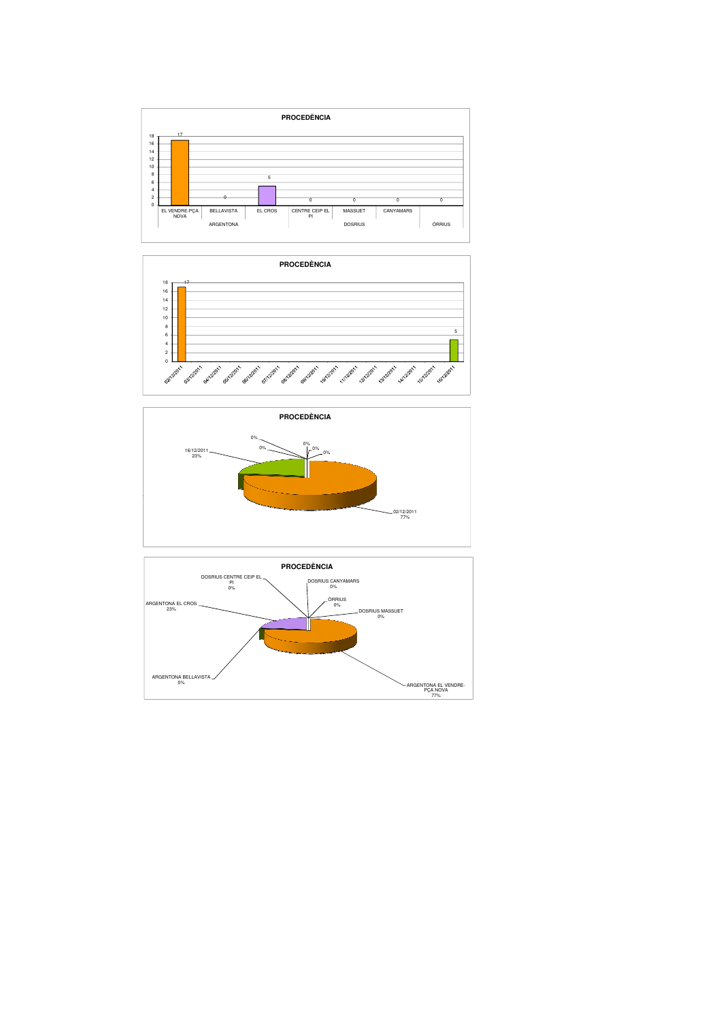





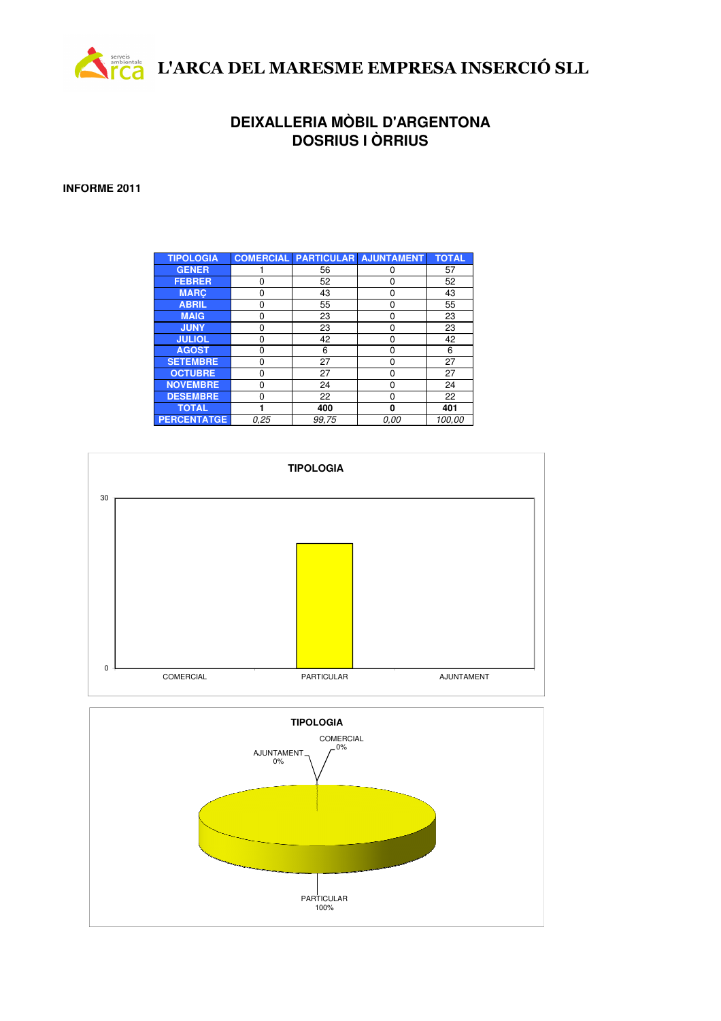

# **DEIXALLERIA MÒBIL D'ARGENTONA DOSRIUS I ÒRRIUS**

## **INFORME 2011**

| <b>TIPOLOGIA</b>   |      |       | <b>COMERCIAL PARTICULAR AJUNTAMENT</b> | <b>TOTAL</b> |
|--------------------|------|-------|----------------------------------------|--------------|
| <b>GENER</b>       |      | 56    | ŋ                                      | 57           |
| <b>FEBRER</b>      | O    | 52    | 0                                      | 52           |
| <b>MARC</b>        | ŋ    | 43    | 0                                      | 43           |
| <b>ABRIL</b>       | O    | 55    | 0                                      | 55           |
| <b>MAIG</b>        | ი    | 23    | 0                                      | 23           |
| <b>JUNY</b>        | O    | 23    | $\Omega$                               | 23           |
| <b>JULIOL</b>      | O    | 42    | $\Omega$                               | 42           |
| <b>AGOST</b>       | O    | 6     | $\Omega$                               | 6            |
| <b>SETEMBRE</b>    | O    | 27    | 0                                      | 27           |
| <b>OCTUBRE</b>     | ŋ    | 27    | 0                                      | 27           |
| <b>NOVEMBRE</b>    | ŋ    | 24    | 0                                      | 24           |
| <b>DESEMBRE</b>    | n    | 22    | O                                      | 22           |
| <b>TOTAL</b>       |      | 400   | O                                      | 401          |
| <b>PERCENTATGE</b> | 0.25 | 99.75 | 0.00                                   | 100.00       |



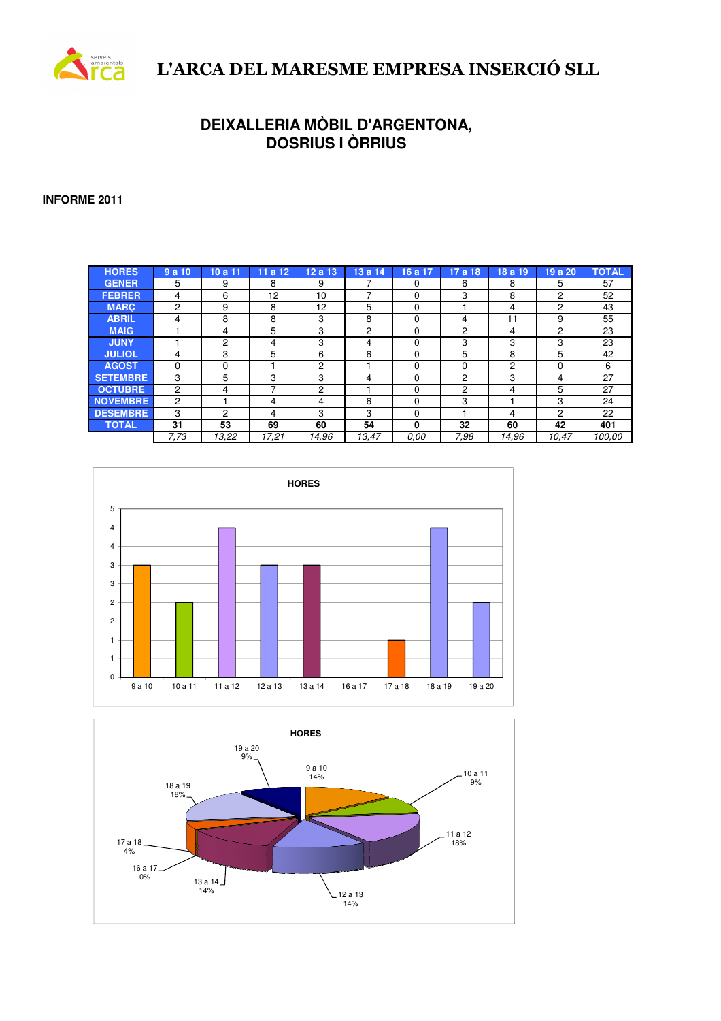

# L'ARCA DEL MARESME EMPRESA INSERCIÓ SLL

# **DEIXALLERIA MÒBIL D'ARGENTONA, DOSRIUS I ÒRRIUS**

**INFORME 2011**

| <b>HORES</b>    | 9a10 | 10a11        | 11a12 | 12a13 | 13a14          | 16 a 17 | 17a18          | 18 a 19        | 19 a 20 | <b>TOTAL</b> |
|-----------------|------|--------------|-------|-------|----------------|---------|----------------|----------------|---------|--------------|
| <b>GENER</b>    | 5    | 9            | 8     | 9     |                | 0       | 6              | 8              | 5       | 57           |
| <b>FEBRER</b>   | 4    | 6            | 12    | 10    | ⇁              | 0       | 3              | 8              | 2       | 52           |
| <b>MARC</b>     | 2    | 9            | 8     | 12    | 5              | 0       |                | 4              | 2       | 43           |
| <b>ABRIL</b>    | 4    | 8            | 8     | 3     | 8              | 0       | 4              | 11             | 9       | 55           |
| <b>MAIG</b>     |      | 4            | 5     | 3     | $\overline{2}$ | 0       | 2              | 4              | 2       | 23           |
| <b>JUNY</b>     |      | 2            | 4     | 3     | 4              | 0       | 3              | 3              | 3       | 23           |
| <b>JULIOL</b>   | 4    | 3            | 5     | 6     | 6              | 0       | 5              | 8              | 5       | 42           |
| <b>AGOST</b>    | 0    | <sup>0</sup> |       | 2     |                | 0       | 0              | $\overline{c}$ | O       | 6            |
| <b>SETEMBRE</b> | 3    | 5            | 3     | 3     | 4              | 0       | $\overline{2}$ | 3              | 4       | 27           |
| <b>OCTUBRE</b>  | 2    | 4            |       | 2     |                | 0       | 2              | 4              | 5       | 27           |
| <b>NOVEMBRE</b> | 2    |              | 4     | 4     | 6              | 0       | 3              |                | 3       | 24           |
| <b>DESEMBRE</b> | 3    | 2            | 4     | 3     | 3              | 0       |                | 4              | 2       | 22           |
| <b>TOTAL</b>    | 31   | 53           | 69    | 60    | 54             | 0       | 32             | 60             | 42      | 401          |
|                 | 7.73 | 13.22        | 17.21 | 14.96 | 13.47          | 0.00    | 7.98           | 14.96          | 10.47   | 100.00       |



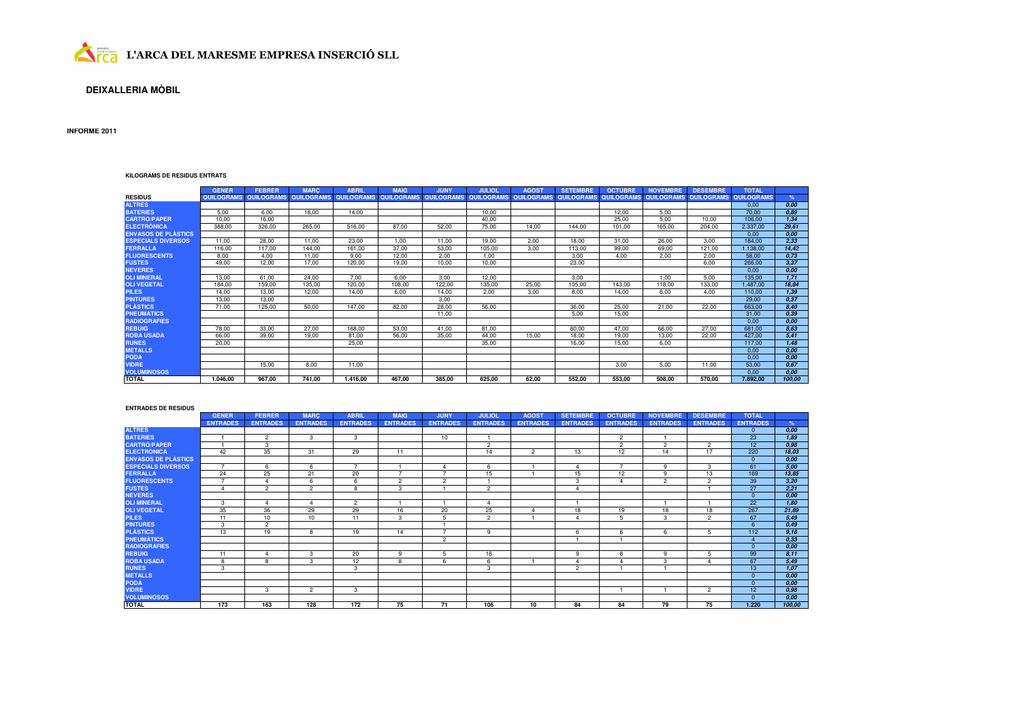

## **DEIXALLERIA MÒBIL**

### **INFORME 2011**

#### **KILOGRAMS DE RESIDUS ENTRATS**

|                            | <b>GENER</b>      | <b>FEBRER</b>     | <b>MARC</b>       | <b>ABRIL</b>      | <b>MAIG</b>       | JUNY              | <b>JULIOL</b>     | <b>AGOST</b>      | <b>SETEMBRE</b>   | <b>OCTUBRE</b>    | <b>NOVEMBRE</b>   | <b>DESEMBRE</b>   | <b>TOTAL</b>      |        |
|----------------------------|-------------------|-------------------|-------------------|-------------------|-------------------|-------------------|-------------------|-------------------|-------------------|-------------------|-------------------|-------------------|-------------------|--------|
| <b>RESIDUS</b>             | <b>QUILOGRAMS</b> | <b>QUILOGRAMS</b> | <b>QUILOGRAMS</b> | <b>QUILOGRAMS</b> | <b>QUILOGRAMS</b> | <b>QUILOGRAMS</b> | <b>QUILOGRAMS</b> | <b>QUILOGRAMS</b> | <b>QUILOGRAMS</b> | <b>QUILOGRAMS</b> | <b>QUILOGRAMS</b> | <b>QUILOGRAMS</b> | <b>QUILOGRAMS</b> | %      |
| <b>ALTRES</b>              |                   |                   |                   |                   |                   |                   |                   |                   |                   |                   |                   |                   | 0.00              | 0.00   |
| <b>BATERIES</b>            | 5.00              | 6.00              | 18.00             | 14.00             |                   |                   | 10.00             |                   |                   | 12.00             | 5.00              |                   | 70.00             | 0.89   |
| <b>CARTRO/PAPER</b>        | 10,00             | 16,00             |                   |                   |                   |                   | 40,00             |                   |                   | 25,00             | 5.00              | 10,00             | 106,00            | 1,34   |
| <b>ELECTRONICA</b>         | 388.00            | 326,00            | 265,00            | 516,00            | 87,00             | 52,00             | 75,00             | 14,00             | 144,00            | 101,00            | 165.00            | 204,00            | 2.337,00          | 29,61  |
| <b>ENVASOS DE PLÀSTICS</b> |                   |                   |                   |                   |                   |                   |                   |                   |                   |                   |                   |                   | 0.00              | 0.00   |
| <b>ESPECIALS DIVERSOS</b>  | 11.00             | 28,00             | 11,00             | 23,00             | 1,00              | 11.00             | 19,00             | 2.00              | 18.00             | 31,00             | 26.00             | 3.00              | 184,00            | 2,33   |
| <b>FERRALLA</b>            | 116.00            | 117.00            | 144,00            | 161,00            | 37,00             | 53.00             | 105,00            | 3.00              | 113,00            | 99,00             | 69.00             | 121,00            | 1.138,00          | 14,42  |
| <b>FLUORESCENTS</b>        | 8.00              | 4,00              | 11,00             | 9.00              | 12,00             | 2,00              | 1,00              |                   | 3,00              | 4.00              | 2,00              | 2,00              | 58,00             | 0,73   |
| <b>FUSTES</b>              | 49,00             | 12.00             | 17.00             | 120,00            | 19.00             | 10.00             | 10.00             |                   | 23,00             |                   |                   | 6.00              | 266,00            | 3.37   |
| <b>NEVERES</b>             |                   |                   |                   |                   |                   |                   |                   |                   |                   |                   |                   |                   | 0.00              | 0.00   |
| <b>OLI MINERAL</b>         | 13,00             | 61,00             | 24,00             | 7,00              | 6.00              | 3,00              | 12,00             |                   | 3,00              |                   | .00               | 5,00              | 135,00            | 1,71   |
| <b>OLI VEGETAL</b>         | 184,00            | 159,00            | 135,00            | 120,00            | 108,00            | 122.00            | 135,00            | 25,00             | 105,00            | 143,00            | 118.00            | 133,00            | 1.487,00          | 18,84  |
| <b>PILES</b>               | 14.00             | 13,00             | 12.00             | 14.00             | 6.00              | 14.00             | 2.00              | 3.00              | 8.00              | 14.00             | 6.00              | 4.00              | 110.00            | 1.39   |
| <b>PINTURES</b>            | 13,00             | 13,00             |                   |                   |                   | 3.00              |                   |                   |                   |                   |                   |                   | 29,00             | 0,37   |
| <b>PLASTICS</b>            | 71,00             | 125,00            | 50,00             | 147,00            | 82,00             | 28.00             | 56,00             |                   | 36,00             | 25,00             | 21.00             | 22,00             | 663,00            | 8.40   |
| <b>PNEUMATICS</b>          |                   |                   |                   |                   |                   | 11.00             |                   |                   | 5,00              | 15.00             |                   |                   | 31.00             | 0,39   |
| <b>RADIOGRAFIES</b>        |                   |                   |                   |                   |                   |                   |                   |                   |                   |                   |                   |                   | 0.00              | 0,00   |
| <b>REBUIG</b>              | 78,00             | 33,00             | 27.00             | 168,00            | 53,00             | 41.00             | 81,00             |                   | 60,00             | 47.00             | 66.00             | 27,00             | 681,00            | 8,63   |
| <b>ROBA USADA</b>          | 66.00             | 39,00             | 19.00             | 81,00             | 56,00             | 35.00             | 44,00             | 15,00             | 18,00             | 19.00             | 13.00             | 22,00             | 427.00            | 5.41   |
| <b>RUNES</b>               | 20,00             |                   |                   | 25,00             |                   |                   | 35,00             |                   | 16,00             | 15,00             | 6,00              |                   | 117,00            | 1,48   |
| <b>METALLS</b>             |                   |                   |                   |                   |                   |                   |                   |                   |                   |                   |                   |                   | 0.00              | 0.00   |
| <b>PODA</b>                |                   |                   |                   |                   |                   |                   |                   |                   |                   |                   |                   |                   | 0.00              | 0.00   |
| <b>VIDRE</b>               |                   | 15,00             | 8,00              | 11,00             |                   |                   |                   |                   |                   | 3.00              | 5.00              | 11,00             | 53,00             | 0,67   |
| <b>VOLUMINOSOS</b>         |                   |                   |                   |                   |                   |                   |                   |                   |                   |                   |                   |                   | 0.00              | 0.00   |
| <b>TOTAL</b>               | 1.046.00          | 967.00            | 741.00            | 1.416.00          | 467.00            | 385.00            | 625.00            | 62.00             | 552,00            | 553.00            | 508.00            | 570.00            | 7.892.00          | 100.00 |

#### **ENTRADES DE RESIDUS**

|                            | <b>GENER</b>    | <b>FEBRER</b>   | <b>MARC</b>     | <b>ABRIL</b>    | <b>MAIG</b>     | <b>JUNY</b>     | <b>JULIOL</b>   | <b>AGOST</b>    | <b>SETEMBRE</b> | <b>OCTUBRE</b>  | <b>NOVEMBRE</b> | <b>DESEMBRE</b> | <b>TOTAL</b>    |        |
|----------------------------|-----------------|-----------------|-----------------|-----------------|-----------------|-----------------|-----------------|-----------------|-----------------|-----------------|-----------------|-----------------|-----------------|--------|
|                            | <b>ENTRADES</b> | <b>ENTRADES</b> | <b>ENTRADES</b> | <b>ENTRADES</b> | <b>ENTRADES</b> | <b>ENTRADES</b> | <b>ENTRADES</b> | <b>ENTRADES</b> | <b>ENTRADES</b> | <b>ENTRADES</b> | <b>ENTRADES</b> | <b>ENTRADES</b> | <b>ENTRADES</b> | %      |
| <b>ALTRES</b>              |                 |                 |                 |                 |                 |                 |                 |                 |                 |                 |                 |                 | $\Omega$        | 0,00   |
| <b>BATERIES</b>            |                 | $\overline{2}$  | $\mathbf{3}$    | 3               |                 | 10              |                 |                 |                 | $\overline{2}$  |                 |                 | 23              | 1.89   |
| <b>CARTRO/PAPER</b>        |                 | 3               |                 |                 |                 |                 | $\overline{2}$  |                 |                 | $\overline{2}$  | $\overline{2}$  | $\overline{2}$  | 12 <sup>°</sup> | 0.98   |
| <b>ELECTRÒNICA</b>         | 42              | 35              | 31              | 29              | 11              |                 | 14              | $\overline{2}$  | 13              | 12              | 14              | 17              | 220             | 18,03  |
| <b>ENVASOS DE PLÀSTICS</b> |                 |                 |                 |                 |                 |                 |                 |                 |                 |                 |                 |                 | $\Omega$        | 0.00   |
| <b>ESPECIALS DIVERSOS</b>  |                 | 6               | -6              | э.              |                 |                 | 6               |                 |                 |                 | 9               | 3               | 61              | 5,00   |
| <b>FERRALLA</b>            | 24              | 25              | 21              | 20              |                 |                 | 15              |                 | 15              | 12              | q               | 13              | 169             | 13,85  |
| <b>FLUORESCENTS</b>        | $\overline{ }$  |                 | 6               | 6               | $\overline{2}$  | $\overline{2}$  |                 |                 | 3               |                 | $\overline{2}$  | $\overline{2}$  | 39              | 3.20   |
| <b>FUSTES</b>              |                 | $\mathcal{D}$   | $\overline{2}$  | 8               | 3               |                 | $\overline{c}$  |                 |                 |                 |                 |                 | 27              | 2,21   |
| <b>NEVERES</b>             |                 |                 |                 |                 |                 |                 |                 |                 |                 |                 |                 |                 | $\Omega$        | 0.00   |
| <b>OLI MINERAL</b>         | 3               |                 |                 | $\overline{2}$  |                 |                 | Δ               |                 |                 |                 |                 |                 | 22              | 1,80   |
| <b>OLI VEGETAL</b>         | 35              | 36              | 29              | 29              | 16              | 20              | 25              |                 | 18              | 19              | 18              | 18              | 267             | 21,89  |
| <b>PILES</b>               | 11              | 10              | 10              | 11              | 3               | 5               | $\overline{2}$  |                 |                 | 5               | 3               | $\overline{2}$  | 67              | 5,49   |
| <b>PINTURES</b>            | 3               | $\overline{2}$  |                 |                 |                 |                 |                 |                 |                 |                 |                 |                 | 6               | 0.49   |
| <b>PLÀSTICS</b>            | 13              | 19              | 8               | 19              | 14              |                 | 9               |                 | -6              | 6               | -6              | 5               | 112             | 9,18   |
| <b>PNEUMATICS</b>          |                 |                 |                 |                 |                 | $\overline{2}$  |                 |                 |                 |                 |                 |                 |                 | 0.33   |
| <b>RADIOGRAFIES</b>        |                 |                 |                 |                 |                 |                 |                 |                 |                 |                 |                 |                 | $\Omega$        | 0.00   |
| <b>REBUIG</b>              | 11              |                 | $\mathbf{3}$    | 20              | 9               | 5               | 16              |                 | 9               | 8               | 9               | 5.              | 99              | 8.11   |
| <b>ROBA USADA</b>          | 8               | 8               | $\mathbf{3}$    | 12              | 8               | 6               | 6               |                 |                 |                 | 3               |                 | 67              | 5.49   |
| <b>RUNES</b>               | 3               |                 |                 | 3               |                 |                 | 3               |                 | $\overline{2}$  |                 |                 |                 | 13              | 7.07   |
| <b>METALLS</b>             |                 |                 |                 |                 |                 |                 |                 |                 |                 |                 |                 |                 | $\Omega$        | 0.00   |
| <b>PODA</b>                |                 |                 |                 |                 |                 |                 |                 |                 |                 |                 |                 |                 | $\Omega$        | 0.00   |
| <b>VIDRE</b>               |                 | 3               | $\overline{2}$  | 3               |                 |                 |                 |                 |                 |                 |                 | $\overline{2}$  | 12 <sup>°</sup> | 0,98   |
| <b>VOLUMINOSOS</b>         |                 |                 |                 |                 |                 |                 |                 |                 |                 |                 |                 |                 | $\Omega$        | 0.00   |
| <b>TOTAL</b>               | 173             | 163             | 128             | 172             | 75              | 71              | 106             | 10              | 84              | 84              | 79              | 75              | 1.220           | 100,00 |